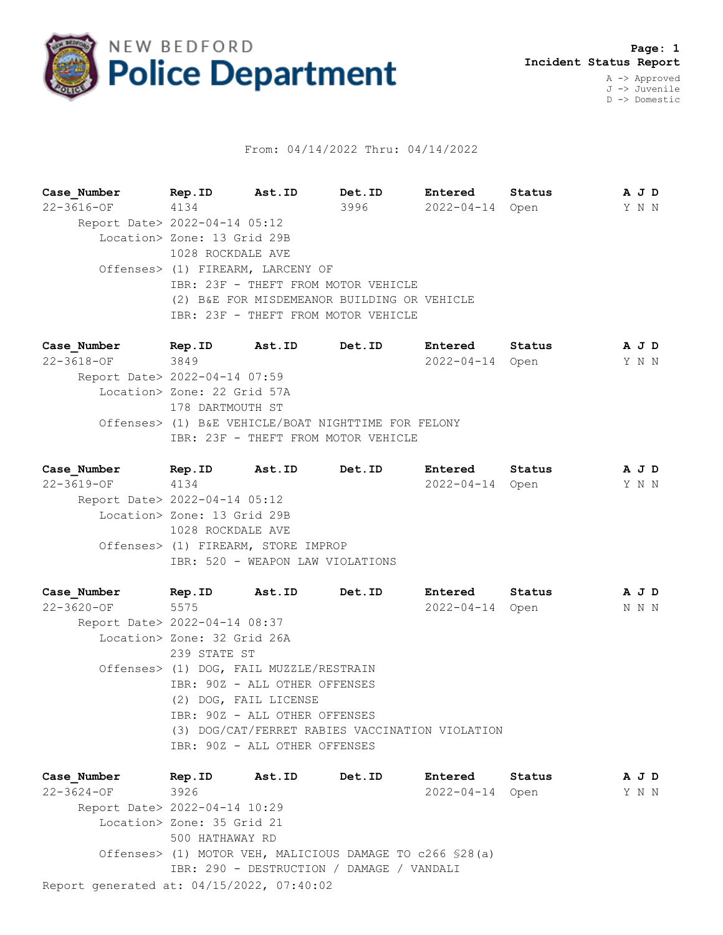

## From: 04/14/2022 Thru: 04/14/2022

**Case\_Number Rep.ID Ast.ID Det.ID Entered Status A J D** 22-3616-OF 4134 3996 2022-04-14 Open Y N N Report Date> 2022-04-14 05:12 Location> Zone: 13 Grid 29B 1028 ROCKDALE AVE Offenses> (1) FIREARM, LARCENY OF IBR: 23F - THEFT FROM MOTOR VEHICLE (2) B&E FOR MISDEMEANOR BUILDING OR VEHICLE IBR: 23F - THEFT FROM MOTOR VEHICLE

**Case\_Number Rep.ID Ast.ID Det.ID Entered Status A J D** 22-3618-OF 3849 2022-04-14 Open Y N N Report Date> 2022-04-14 07:59 Location> Zone: 22 Grid 57A 178 DARTMOUTH ST Offenses> (1) B&E VEHICLE/BOAT NIGHTTIME FOR FELONY IBR: 23F - THEFT FROM MOTOR VEHICLE

**Case\_Number Rep.ID Ast.ID Det.ID Entered Status A J D** 22-3619-OF 4134 2022-04-14 Open Y N N Report Date> 2022-04-14 05:12 Location> Zone: 13 Grid 29B 1028 ROCKDALE AVE Offenses> (1) FIREARM, STORE IMPROP IBR: 520 - WEAPON LAW VIOLATIONS

**Case\_Number Rep.ID Ast.ID Det.ID Entered Status A J D** 22-3620-OF 5575 2022-04-14 Open N N N Report Date> 2022-04-14 08:37 Location> Zone: 32 Grid 26A 239 STATE ST Offenses> (1) DOG, FAIL MUZZLE/RESTRAIN IBR: 90Z - ALL OTHER OFFENSES (2) DOG, FAIL LICENSE IBR: 90Z - ALL OTHER OFFENSES (3) DOG/CAT/FERRET RABIES VACCINATION VIOLATION IBR: 90Z - ALL OTHER OFFENSES

Report generated at: 04/15/2022, 07:40:02 **Case\_Number Rep.ID Ast.ID Det.ID Entered Status A J D** 22-3624-OF 3926 2022-04-14 Open Y N N Report Date> 2022-04-14 10:29 Location> Zone: 35 Grid 21 500 HATHAWAY RD Offenses> (1) MOTOR VEH, MALICIOUS DAMAGE TO c266 §28(a) IBR: 290 - DESTRUCTION / DAMAGE / VANDALI